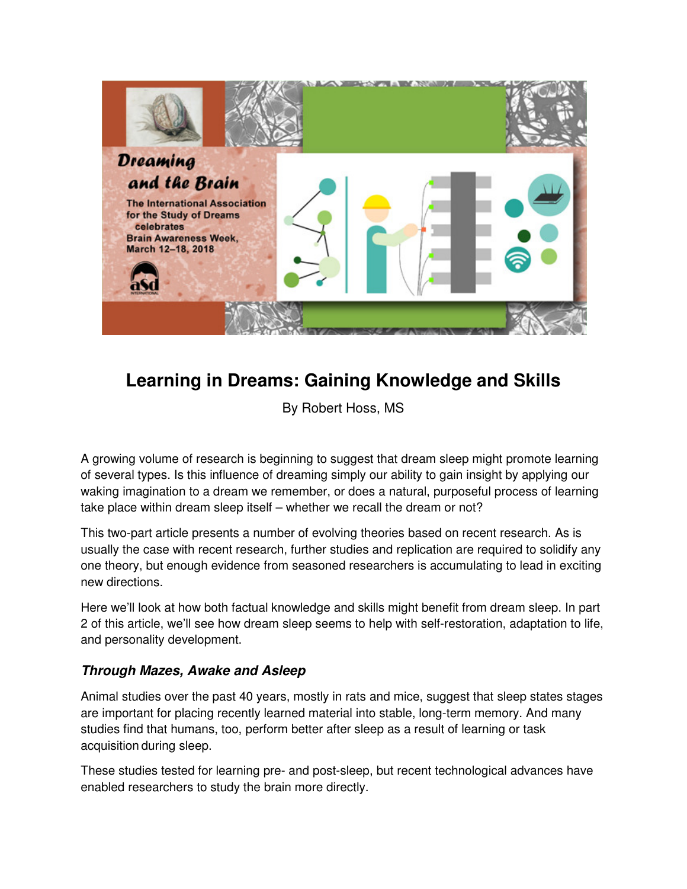

## **Learning in Dreams: Gaining Knowledge and Skills**

By Robert Hoss, MS

A growing volume of research is beginning to suggest that dream sleep might promote learning of several types. Is this influence of dreaming simply our ability to gain insight by applying our waking imagination to a dream we remember, or does a natural, purposeful process of learning take place within dream sleep itself – whether we recall the dream or not?

This two-part article presents a number of evolving theories based on recent research. As is usually the case with recent research, further studies and replication are required to solidify any one theory, but enough evidence from seasoned researchers is accumulating to lead in exciting new directions.

Here we'll look at how both factual knowledge and skills might benefit from dream sleep. In part 2 of this article, we'll see how dream sleep seems to help with self-restoration, adaptation to life, and personality development.

## **Through Mazes, Awake and Asleep**

Animal studies over the past 40 years, mostly in rats and mice, suggest that sleep states stages are important for placing recently learned material into stable, long-term memory. And many studies find that humans, too, perform better after sleep as a result of learning or task acquisition during sleep.

These studies tested for learning pre- and post-sleep, but recent technological advances have enabled researchers to study the brain more directly.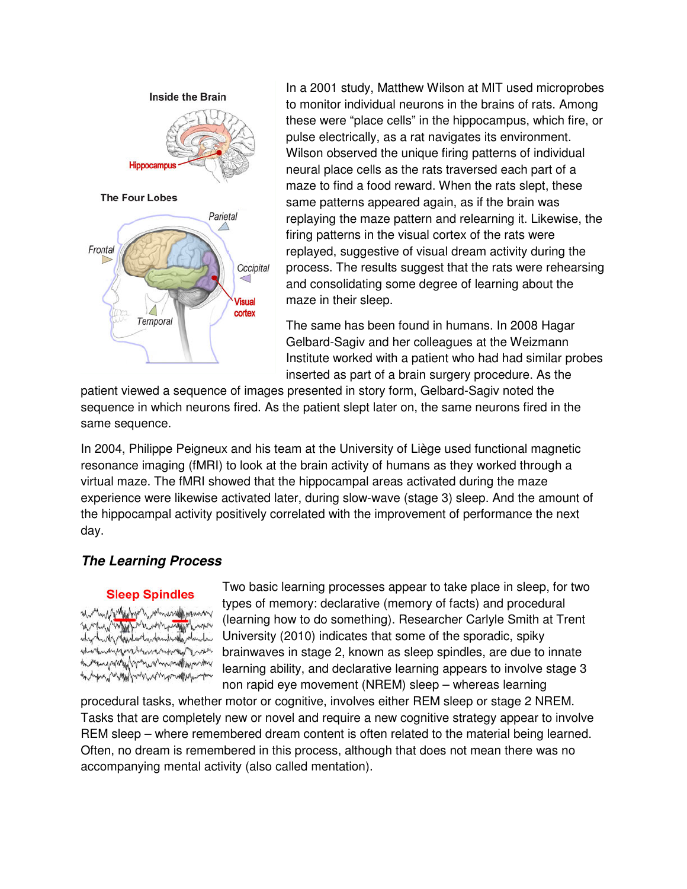

In a 2001 study, Matthew Wilson at MIT used microprobes to monitor individual neurons in the brains of rats. Among these were "place cells" in the hippocampus, which fire, or pulse electrically, as a rat navigates its environment. Wilson observed the unique firing patterns of individual neural place cells as the rats traversed each part of a maze to find a food reward. When the rats slept, these same patterns appeared again, as if the brain was replaying the maze pattern and relearning it. Likewise, the firing patterns in the visual cortex of the rats were replayed, suggestive of visual dream activity during the process. The results suggest that the rats were rehearsing and consolidating some degree of learning about the maze in their sleep.

The same has been found in humans. In 2008 Hagar Gelbard-Sagiv and her colleagues at the Weizmann Institute worked with a patient who had had similar probes inserted as part of a brain surgery procedure. As the

patient viewed a sequence of images presented in story form, Gelbard-Sagiv noted the sequence in which neurons fired. As the patient slept later on, the same neurons fired in the same sequence.

In 2004, Philippe Peigneux and his team at the University of Liège used functional magnetic resonance imaging (fMRI) to look at the brain activity of humans as they worked through a virtual maze. The fMRI showed that the hippocampal areas activated during the maze experience were likewise activated later, during slow-wave (stage 3) sleep. And the amount of the hippocampal activity positively correlated with the improvement of performance the next day.

## **The Learning Process**

## **Sleep Spindles**

wanner hanner and the standard mar mannerally My Hopelant in funds why who Any Manush Andrew Month Company Manush งกล่างกลุ่มไปๆกละบางไทยของเป็นเพื่อนอย่าง ~ ~ my my ham we want to want we have Two basic learning processes appear to take place in sleep, for two types of memory: declarative (memory of facts) and procedural (learning how to do something). Researcher Carlyle Smith at Trent University (2010) indicates that some of the sporadic, spiky brainwaves in stage 2, known as sleep spindles, are due to innate learning ability, and declarative learning appears to involve stage 3 non rapid eye movement (NREM) sleep – whereas learning

procedural tasks, whether motor or cognitive, involves either REM sleep or stage 2 NREM. Tasks that are completely new or novel and require a new cognitive strategy appear to involve REM sleep – where remembered dream content is often related to the material being learned. Often, no dream is remembered in this process, although that does not mean there was no accompanying mental activity (also called mentation).